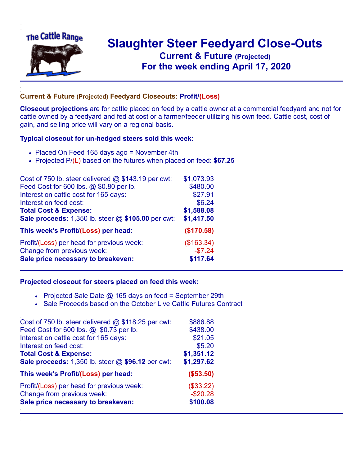

## **Slaughter Steer Feedyard Close-Outs Current & Future (Projected)** .**For the week ending April 17, 2020**

## **Current & Future (Projected) Feedyard Closeouts: Profit/(Loss)**

**Closeout projections** are for cattle placed on feed by a cattle owner at a commercial feedyard and not for cattle owned by a feedyard and fed at cost or a farmer/feeder utilizing his own feed. Cattle cost, cost of gain, and selling price will vary on a regional basis.

## **Typical closeout for un-hedged steers sold this week:**

- Placed On Feed 165 days ago = November 4th
- Projected P/(L) based on the futures when placed on feed: **\$67.25**

| Cost of 750 lb. steer delivered $@$ \$143.19 per cwt: | \$1,073.93 |
|-------------------------------------------------------|------------|
| Feed Cost for 600 lbs. @ \$0.80 per lb.               | \$480.00   |
| Interest on cattle cost for 165 days:                 | \$27.91    |
| Interest on feed cost:                                | \$6.24     |
| <b>Total Cost &amp; Expense:</b>                      | \$1,588.08 |
| Sale proceeds: 1,350 lb. steer @ \$105.00 per cwt:    | \$1,417.50 |
| This week's Profit/(Loss) per head:                   | (\$170.58) |
| Profit/(Loss) per head for previous week:             | (\$163.34) |
| Change from previous week:                            | $-$7.24$   |
| Sale price necessary to breakeven:                    | \$117.64   |

## **Projected closeout for steers placed on feed this week:**

- Projected Sale Date  $@$  165 days on feed = September 29th
- Sale Proceeds based on the October Live Cattle Futures Contract

| Cost of 750 lb. steer delivered $@$ \$118.25 per cwt: | \$886.88   |
|-------------------------------------------------------|------------|
| Feed Cost for 600 lbs. @ \$0.73 per lb.               | \$438.00   |
| Interest on cattle cost for 165 days:                 | \$21.05    |
| Interest on feed cost:                                | \$5.20     |
| <b>Total Cost &amp; Expense:</b>                      | \$1,351.12 |
| Sale proceeds: 1,350 lb. steer @ \$96.12 per cwt:     | \$1,297.62 |
| This week's Profit/(Loss) per head:                   | (\$53.50)  |
| Profit/(Loss) per head for previous week:             | (\$33.22)  |
| Change from previous week:                            | $-$20.28$  |
| Sale price necessary to breakeven:                    | \$100.08   |
|                                                       |            |